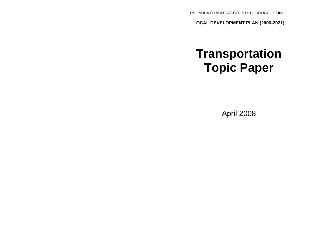RHONDDA CYNON TAF COUNTY BOROUGH COUNCIL

**LOCAL DEVELOPMENT PLAN (2006-2021)**

# **Transportation Topic Paper**

April 2008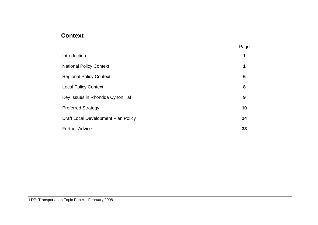# **Context**

|                                     | Page            |
|-------------------------------------|-----------------|
| Introduction                        | 1               |
| <b>National Policy Context</b>      | 1               |
| <b>Regional Policy Context</b>      | $6\phantom{1}6$ |
| <b>Local Policy Context</b>         | 8               |
| Key Issues in Rhondda Cynon Taf     | 9               |
| <b>Preferred Strategy</b>           | 10              |
| Draft Local Development Plan Policy | 14              |
| <b>Further Advice</b>               | 33              |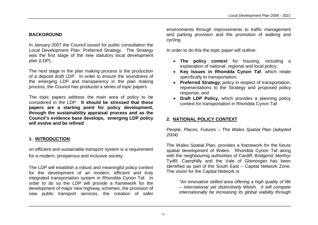# **BACKGROUND**

In January 2007 the Council issued for public consultation the Local Development Plan: Preferred Strategy. The Strategy was the first stage of the new statutory local development plan (LDP).

The next stage in the plan making process is the production of a deposit draft LDP. In order to ensure the soundness of the emerging LDP and transparency in the plan making process, the Council has produced a series of topic papers.

The topic papers address the main area of policy to be considered in the LDP. **It should be stressed that these papers are a starting point for policy development, through the sustainability appraisal process and as the Council's evidence base develops, emerging LDP policy will evolve and be refined**

# **1. INTRODUCTION**

An efficient and sustainable transport system is a requirement for a modern, prosperous and inclusive society.

The LDP will establish a robust and meaningful policy context for the development of an modern, efficient and truly integrated transportation system in Rhondda Cynon Taf. In order to do so the LDP will provide a framework for the development of major new highway schemes, the provision of new public transport services, the creation of safer environments through improvements to traffic management and parking provision and the promotion of walking and cycling.

In order to do this the topic paper will outline:

- **The policy context** for housing, including a explanation of national, regional and local policy;
- **Key Issues in Rhondda Cynon Taf**, which relate specifically to transportation;
- **Preferred Strategy,** policy in respect of transportation, representations to the Strategy and proposed policy response, and
- **Draft LDP Policy,** which provides a planning policy context for transportation in Rhondda Cynon Taf.

# **2. NATIONAL POLICY CONTEXT**

*People, Places, Futures – The Wales Spatial Plan (adopted 2004)*

The Wales Spatial Plan, provides a framework for the future spatial development of Wales. Rhondda Cynon Taf along with the neighbouring authorities of Cardiff, Bridgend, Merthyr Tydfil, Caerphilly and the Vale of Glamorgan has been identified as part of the South East – Capital Network Zone. The vision for the Capital Network is:

*"An innovative skilled area offering a high quality of life – international yet distinctively Welsh. It will compete internationally be increasing its global viability through*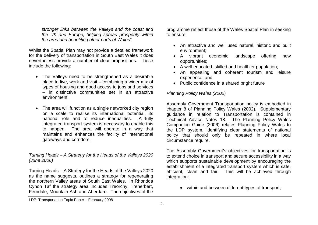*stronger links between the Valleys and the coast and the UK and Europe, helping spread prosperity within the area and benefiting other parts of Wales".*

Whilst the Spatial Plan may not provide a detailed framework for the delivery of transportation in South East Wales it does nevertheless provide a number of clear propositions. These include the following:

- The Valleys need to be strengthened as a desirable place to live, work and visit – combining a wider mix of types of housing and good access to jobs and services – in distinctive communities set in an attractive environment.
- The area will function as a single networked city region on a scale to realise its international potential, its national role and to reduce inequalities. A fully integrated transport system is necessary to enable this to happen. The area will operate in a way that maintains and enhances the facility of international gateways and corridors.

## *Turning Heads – A Strategy for the Heads of the Valleys 2020 (June 2006)*

Turning Heads – A Strategy for the Heads of the Valleys 2020 as the name suggests, outlines a strategy for regenerating the northern Valley areas of South East Wales. In Rhondda Cynon Taf the strategy area includes Treorchy, Treherbert, Ferndale, Mountain Ash and Aberdare. The objectives of the programme reflect those of the Wales Spatial Plan in seeking to ensure:

- An attractive and well used natural, historic and built environment;
- A vibrant economic landscape offering new opportunities;
- A well educated, skilled and healthier population;
- An appealing and coherent tourism and leisure experience, and
- Public confidence in a shared bright future

# *Planning Policy Wales (2002)*

Assembly Government Transportation policy is embodied in chapter 8 of Planning Policy Wales (2002). Supplementary guidance in relation to Transportation is contained in Technical Advice Notes 18. The Planning Policy Wales Companion Guide (2006) relates Planning Policy Wales to the LDP system, identifying clear statements of national policy that should only be repeated in where local circumstance require.

The Assembly Government's objectives for transportation is to extend choice in transport and secure accessibility in a way which supports sustainable development by encouraging the establishment of a integrated transport system which is safe, efficient, clean and fair. This will be achieved through integration:

within and between different types of transport;

LDP: Transportation Topic Paper – February 2008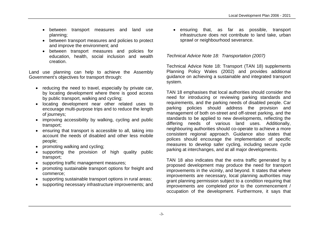- between transport measures and land use planning;
- between transport measures and policies to protect and improve the environment; and
- between transport measures and policies for education, health, social inclusion and wealth creation.

Land use planning can help to achieve the Assembly Government's objectives for transport through:

- reducing the need to travel, especially by private car, by locating development where there is good access by public transport, walking and cycling;
- locating development near other related uses to encourage multi-purpose trips and to reduce the length of journeys;
- improving accessibility by walking, cycling and public transport;
- ensuring that transport is accessible to all, taking into account the needs of disabled and other less mobile people;
- promoting walking and cycling;
- supporting the provision of high quality public transport;
- supporting traffic management measures;
- promoting sustainable transport options for freight and commerce;
- supporting sustainable transport options in rural areas;
- supporting necessary infrastructure improvements; and

 ensuring that, as far as possible, transport infrastructure does not contribute to land take, urban sprawl or neighbourhood severance.

# *Technical Advice Note 18: Transportation (2007)*

Technical Advice Note 18: Transport (TAN 18) supplements Planning Policy Wales (2002) and provides additional guidance on achieving a sustainable and integrated transport system.

TAN 18 emphasises that local authorities should consider the need for introducing or reviewing parking standards and requirements, and the parking needs of disabled people. Car parking policies should address the provision and management of both on-street and off-street parking, and the standards to be applied to new developments, reflecting the differing needs of various land uses. Additionally, neighbouring authorities should co-operate to achieve a more consistent regional approach. Guidance also states that polices should encourage the implementation of specific measures to develop safer cycling, including secure cycle parking at interchanges, and at all major developments.

TAN 18 also indicates that the extra traffic generated by a proposed development may produce the need for transport improvements in the vicinity, and beyond. It states that where improvements are necessary, local planning authorities may grant planning permission subject to a condition requiring that improvements are completed prior to the commencement / occupation of the development. Furthermore, it says that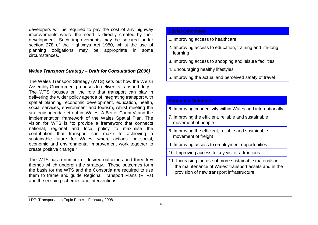developers will be required to pay the cost of any highway improvements where the need is directly created by their development. Such improvements may be secured under section 278 of the Highways Act 1980, whilst the use of planning obligations may be appropriate in some circumstances.

#### *Wales Transport Strategy – Draft for Consultation (2006)*

The Wales Transport Strategy (WTS) sets out how the Welsh Assembly Government proposes to deliver its transport duty. The WTS focuses on the role that transport can play in delivering the wider policy agenda of integrating transport with spatial planning, economic development, education, health, social services, environment and tourism, whilst meeting the strategic agenda set out in 'Wales: A Better Country' and the implementation framework of the Wales Spatial Plan. The vision for WTS is "to provide a framework that connects national, regional and local policy to maximise the contribution that transport can make to achieving a sustainable future for Wales, where actions for social, economic and environmental improvement work together to create positive change."

The WTS has a number of desired outcomes and three key themes which underpin the strategy. These outcomes form the basis for the WTS and the Consortia are required to use them to frame and guide Regional Transport Plans (RTPs) and the ensuing schemes and interventions.

#### **Social Outcomes**

- 1. Improving access to healthcare
- 2. Improving access to education, training and life-long learning
- 3. Improving access to shopping and leisure facilities
- 4. Encouraging healthy lifestyles
- 5. Improving the actual and perceived safety of travel

# **Economic Outcomes** 6. Improving connectivity within Wales and internationally 7. Improving the efficient, reliable and sustainable movement of people 8. Improving the efficient, reliable and sustainable movement of freight 9. Improving access to employment opportunities 10. Improving access to key visitor attractions 11. Increasing the use of more sustainable materials in the maintenance of Wales' transport assets and in the provision of new transport infrastructure.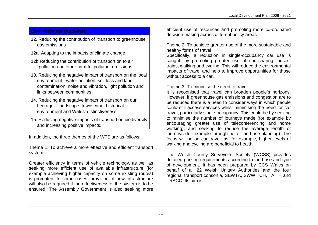# **Environmental Outcomes**

12. Reducing the contribution of transport to greenhouse gas emissions

12a. Adapting to the impacts of climate change

- 12b.Reducing the contribution of transport on to air pollution and other harmful pollutant emissions.
- 13. Reducing the negative impact of transport on the local environment - water pollution, soil loss and land contamination, noise and vibration, light pollution and links between communities
- 14. Reducing the negative impact of transport on our heritage – landscape, townscape, historical environment and Wales' distinctiveness
- 15. Reducing negative impacts of transport on biodiversity and increasing positive impacts.

In addition, the three themes of the WTS are as follows:

Theme 1: To achieve a more effective and efficient transport system

Greater efficiency in terms of vehicle technology, as well as seeking more efficient use of available infrastructure (for example achieving higher capacity on some existing routes) is promoted. In some cases, provision of new infrastructure will also be required if the effectiveness of the system is to be ensured. The Assembly Government is also seeking more efficient use of resources and promoting more co-ordinated decision making across different policy areas

Theme 2: To achieve greater use of the more sustainable and healthy forms of travel

Specifically, a reduction in single-occupancy car use is sought, by promoting greater use of car sharing, buses, trains, walking and cycling. This will reduce the environmental impacts of travel and help to improve opportunities for those without access to a car.

# Theme 3: To minimise the need to travel

It is recognised that travel can broaden people's horizons. However, if greenhouse gas emissions and congestion are to be reduced there is a need to consider ways in which people could still access services whilst minimising the need for car travel, particularly single-occupancy. This could be by seeking to minimise the number of journeys made (for example by encouraging greater use of teleconferencing and home working), and seeking to reduce the average length of journeys (for example through better land-use planning). The focus will be on car travel, as, for example, higher levels of walking and cycling are beneficial to health.

The Welsh County Surveyor's Society (WCSS) provides detailed parking requirements according to land use and type of development. It has been prepared by CCS Wales on behalf of all 22 Welsh Unitary Authorities and the four regional transport consortia, SEWTA, SWWITCH, TAITH and TRACC. Its aim is: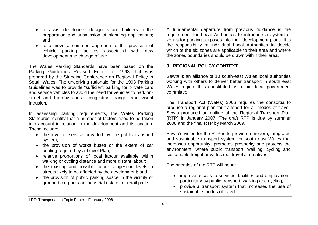- to assist developers, designers and builders in the preparation and submission of planning applications; and
- to achieve a common approach to the provision of vehicle parking facilities associated with new development and change of use.

The Wales Parking Standards have been based on the Parking Guidelines Revised Edition of 1993 that was prepared by the Standing Conference on Regional Policy in South Wales. The underlying rationale for the 1993 Parking Guidelines was to provide "sufficient parking for private cars and service vehicles to avoid the need for vehicles to park onstreet and thereby cause congestion, danger and visual intrusion.

In assessing parking requirements, the Wales Parking Standards identify that a number of factors need to be taken into account in relation to the development and its location. These include:

- the level of service provided by the public transport system;
- the provision of works buses or the extent of car pooling required by a Travel Plan;
- relative proportions of local labour available within walking or cycling distance and more distant labour;
- the existing and possible future congestion levels in streets likely to be affected by the development; and
- the provision of public parking space in the vicinity or grouped car parks on industrial estates or retail parks

A fundamental departure from previous guidance is the requirement for Local Authorities to introduce a system of zones for parking purposes into their development plans. It is the responsibility of individual Local Authorities to decide which of the six zones are applicable to their area and where the zones boundaries should be drawn within their area.

# **3. REGIONAL POLICY CONTEXT**

Sewta is an alliance of 10 south-east Wales local authorities working with others to deliver better transport in south east Wales region. It is constituted as a joint local government committee.

The Transport Act (Wales) 2006 requires the consortia to produce a regional plan for transport for all modes of travel. Sewta produced an outline of the Regional Transport Plan (RTP) in January 2007. The draft RTP is due by summer 2008 and the final RTP by March 2009.

Sewta's vision for the RTP is to provide a modern, integrated and sustainable transport system for south east Wales that increases opportunity, promotes prosperity and protects the environment, where public transport, walking, cycling and sustainable freight provides real travel alternatives.

The priorities of the RTP will be to:

- improve access to services, facilities and employment, particularly by public transport, walking and cycling;
- provide a transport system that increases the use of sustainable modes of travel;

LDP: Transportation Topic Paper – February 2008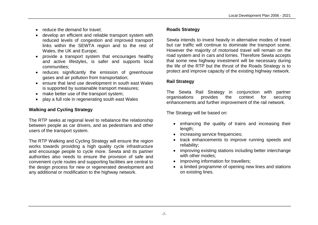- reduce the demand for travel:
- develop an efficient and reliable transport system with reduced levels of congestion and improved transport links within the SEWTA region and to the rest of Wales, the UK and Europe;
- provide a transport system that encourages healthy and active lifestyles, is safer and supports local communities;
- reduces significantly the emission of greenhouse gases and air pollution from transportation;
- ensure that land use development in south east Wales is supported by sustainable transport measures;
- make better use of the transport system;
- play a full role in regenerating south east Wales

# **Walking and Cycling Strategy**

The RTP seeks at regional level to rebalance the relationship between people as car drivers, and as pedestrians and other users of the transport system.

The RTP Walking and Cycling Strategy will ensure the region works towards providing a high quality cycle infrastructure and encourage people to cycle more. Sewta and its partner authorities also needs to ensure the provision of safe and convenient cycle routes and supporting facilities are central to the design process for new or regenerated development and any additional or modification to the highway network.

# **Roads Strategy**

Sewta intends to invest heavily in alternative modes of travel but car traffic will continue to dominate the transport scene. However the majority of motorised travel will remain on the road system and in cars and lorries. Therefore Sewta accepts that some new highway investment will be necessary during the life of the RTP but the thrust of the Roads Strategy is to protect and improve capacity of the existing highway network.

# **Rail Strategy**

The Sewta Rail Strategy in conjunction with partner organisations provides the context for securing enhancements and further improvement of the rail network.

The Strategy will be based on:

- enhancing the quality of trains and increasing their length;
- increasing service frequencies;
- track enhancements to improve running speeds and reliability;
- improving existing stations including better interchange with other modes:
- improving information for travellers;
- a limited programme of opening new lines and stations on existing lines.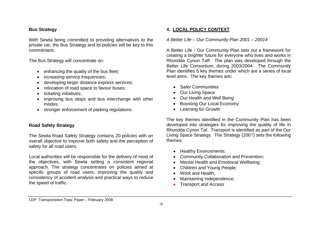# **Bus Strategy**

With Sewta being committed to providing alternatives to the private car, the Bus Strategy and its policies will be key to this commitment.

The Bus Strategy will concentrate on:

- enhancing the quality of the bus fleet;
- increasing service frequencies;
- developing larger distance express services;
- relocation of road space to favour buses;
- ticketing initiatives;
- improving bus stops and bus interchange with other modes;
- stronger enforcement of parking regulations.

# **Road Safety Strategy**

The Sewta Road Safety Strategy contains 20 policies with an overall objective to improve both safety and the perception of safety for all road users.

Local authorities will be responsible for the delivery of most of the objectives, with Sewta setting a consistent regional approach. The strategy concentrates on policies aimed at specific groups of road users, improving the quality and consistency of accident analysis and practical ways to reduce the speed of traffic.

# **4. LOCAL POLICY CONTEXT**

### *A Better Life – Our Community Plan 2001 – 20014*

A Better Life - Our Community Plan sets out a framework for creating a brighter future for everyone who lives and works in Rhondda Cynon Taff. The plan was developed through the Better Life Consortium, during 2003/2004. The Community Plan identifies 5 key themes under which are a series of local level aims. The key themes are**:**

- Safer Communities
- Our Living Space
- Our Health and Well Being
- Boosting Our Local Economy
- Learning for Growth

The key themes identified in the Community Plan has been developed into strategies for improving the quality of life in Rhondda Cynon Taf. Transport is identified as part of the Our Living Space Strategy. The Strategy (200?) sets the following themes:

- Healthy Environments;
- Community Collaboration and Prevention;
- Mental Health and Emotional Wellbeing:
- Children and Young People;
- Work and Health:
- Maintaining Independence;
- Transport and Access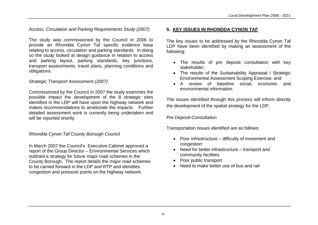*Access, Circulation and Parking Requirements Study (2007)*

The study was commissioned by the Council in 2006 to provide an Rhondda Cynon Taf specific evidence base relating to access, circulation and parking standards. In doing so the study looked at design guidance in relation to access and parking layout, parking standards, key junctions, transport assessments, travel plans, planning conditions and obligations.

#### *Strategic Transport Assessment (2007)*

Commissioned by the Council in 2007 the study examines the possible impact the development of the 8 strategic sites identified in the LDP will have upon the highway network and makes recommendations to ameliorate the impacts. Further detailed assessment work is currently being undertaken and will be reported shortly.

#### *Rhondda Cynon Taf County Borough Council*

In March 2007 the Council's Executive Cabinet approved a report of the Group Director – Environmental Services which outlined a strategy for future major road schemes in the County Borough. The report details the major road schemes to be carried forward in the LDP and RTP and identifies congestion and pressure points on the highway network.

#### **5. KEY ISSUES IN RHONDDA CYNON TAF**

The key issues to be addressed by the Rhondda Cynon Taf LDP have been identified by making an assessment of the following:

- The results of pre deposit consultation with key stakeholder;
- The results of the Sustainability Appraisal / Strategic Environmental Assessment Scoping Exercise; and
- A review of baseline social, economic and environmental information.

The issues identified through this process will inform directly the development of the spatial strategy for the LDP.

#### *Pre Deposit Consultation*

Transportation issues identified are as follows:

- Poor infrastructure difficulty of movement and congestion
- Need for better infrastructure transport and community facilities
- Poor public transport
- Need to make better use of bus and rail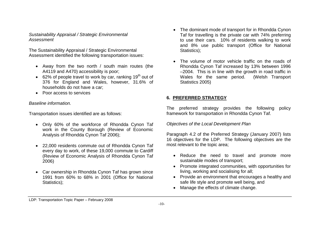#### *Sustainability Appraisal / Strategic Environmental Assessment*

The Sustainability Appraisal / Strategic Environmental Assessment identified the following transportation issues:

- Away from the two north / south main routes (the A4119 and A470) accessibility is poor;
- $\bullet$  62% of people travel to work by car, ranking 19<sup>th</sup> out of 376 for England and Wales, however, 31.6% of households do not have a car;
- Poor access to services

## *Baseline information.*

Transportation issues identified are as follows:

- Only 60% of the workforce of Rhondda Cynon Taf work in the County Borough (Review of Economic Analysis of Rhondda Cynon Taf 2006);
- 22,000 residents commute out of Rhondda Cynon Taf every day to work, of these 19,000 commute to Cardiff (Review of Economic Analysis of Rhondda Cynon Taf 2006)
- Car ownership in Rhondda Cynon Taf has grown since 1991 from 60% to 68% in 2001 (Office for National Statistics);
- The dominant mode of transport for in Rhondda Cynon Taf for travelling is the private car with 74% preferring to use their cars. 10% of residents walking to work and 8% use public transport (Office for National Statistics);
- The volume of motor vehicle traffic on the roads of Rhondda Cynon Taf increased by 13% between 1996 –2004. This is in line with the growth in road traffic in Wales for the same period. (Welsh Transport Statistics 2005)

# **6. PREFERRED STRATEGY**

The preferred strategy provides the following policy framework for transportation in Rhondda Cynon Taf.

*Objectives of the Local Development Plan*

Paragraph 4.2 of the Preferred Strategy (January 2007) lists 16 objectives for the LDP. The following objectives are the most relevant to the topic area;

- Reduce the need to travel and promote more sustainable modes of transport;
- Promote integrated communities, with opportunities for living, working and socialising for all;
- Provide an environment that encourages a healthy and safe life style and promote well being, and
- Manage the effects of climate change.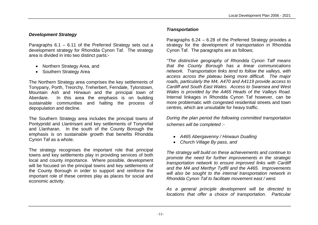# *Development Strategy*

Paragraphs 6.1 – 6.11 of the Preferred Strategy sets out a development strategy for Rhondda Cynon Taf. The strategy area is divided in into two distinct parts:-

- Northern Strategy Area, and
- Southern Strategy Area

The Northern Strategy area comprises the key settlements of Tonypany, Porth, Treorchy, Treherbert, Ferndale, Tylorstown, Mountain Ash and Hirwaun and the principal town of Aberdare. In this area the emphasis is on building sustainable communities and halting the process of depopulation and decline.

The Southern Strategy area includes the principal towns of Pontypridd and Llantrisant and key settlements of Tonyrefail and Llanharan. In the south of the County Borough the emphasis is on sustainable growth that benefits Rhondda Cynon Taf as a whole.

The strategy recognises the important role that principal towns and key settlements play in providing services of both local and county importance. Where possible, development will be focused on the principal towns and key settlements of the County Borough in order to support and reinforce the important role of these centres play as places for social and economic activity.

# *Transportation*

Paragraphs 6.24 – 6.28 of the Preferred Strategy provides a strategy for the development of transportation in Rhondda Cynon Taf. The paragraphs are as follows;

*"The distinctive geography of Rhondda Cynon Taff means that the County Borough has a linear communications network. Transportation links tend to follow the valleys, with access across the plateau being more difficult. The major roads, particularly the M4, A470 and A4119 provide access to Cardiff and South East Wales. Access to Swansea and West Wales is provided by the A465 Heads of the Valleys Road.* Internal linkages in Rhondda Cynon Taf however, can be more problematic with congested residential streets and town centres, which are unsuitable for heavy traffic.

*During the plan period the following committed transportation schemes will be completed :-*

- *A465 Abergavenny / Hirwaun Dualling*
- *Church Village By pass, and*

*The strategy will build on these achievements and continue to promote the need for further improvements in the strategic transportation network to ensure improved links with Cardiff and the M4 and Merthyr Tydfil and the A465. Improvements will also be sought to the internal transportation network in Rhondda Cynon Taf to facilitate movement east / west.*

*As a general principle development will be directed to locations that offer a choice of transportation. Particular*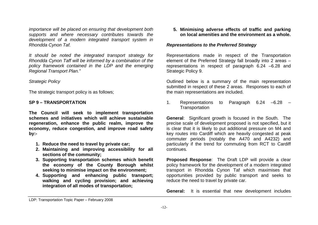*importance will be placed on ensuring that development both supports and where necessary contributes towards the development of a modern integrated transport system in Rhondda Cynon Taf.*

*It should be noted the integrated transport strategy for Rhondda Cynon Taff will be informed by a combination of the policy framework contained in the LDP and the emerging Regional Transport Plan."*

#### *Strategic Policy*

The strategic transport policy is as follows;

#### **SP 9 – TRANSPORTATION**

**The Council will seek to implement transportation schemes and initiatives which will achieve sustainable regeneration, enhance the public realm, improve the economy, reduce congestion, and improve road safety by:-**

- **1. Reduce the need to travel by private car;**
- **2. Maintaining and improving accessibility for all sections of the community;**
- **3. Supporting transportation schemes which benefit the economy of the County Borough whilst seeking to minimise impact on the environment;**
- **4. Supporting and enhancing public transport; walking and cycling provision; and achieving integration of all modes of transportation;**

**5. Minimising adverse effects of traffic and parking on local amenities and the environment as a whole.**

## *Representations to the Preferred Strategy*

Representations made in respect of the Transportation element of the Preferred Strategy fall broadly into 2 areas – representations in respect of paragraph 6.24 –6.28 and Strategic Policy 9.

Outlined below is a summary of the main representation submitted in respect of these 2 areas. Responses to each of the main representations are included.

1. Representations to Paragraph 6.24 –6.28 – **Transportation** 

**General**: Significant growth is focused in the South. The precise scale of development proposed is not specified, but it is clear that it is likely to put additional pressure on M4 and key routes into Cardiff which are heavily congested at peak commuter periods (notably the A470 and A4232) and particularly if the trend for commuting from RCT to Cardiff continues*.*

**Proposed Response**: The Draft LDP will provide a clear policy framework for the development of a modern integrated transport in Rhondda Cynon Taf which maximises that opportunities provided by public transport and seeks to reduce the need to travel by private car.

**General:** It is essential that new development includes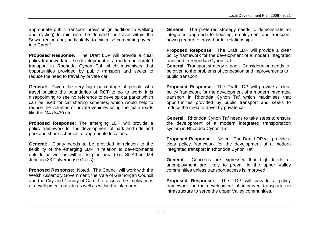appropriate public transport provision (in addition to walking and cycling) to minimise the demand for travel within the Sewta region and, particularly, to minimise commuting by car into Cardiff

**Proposed Response:** The Draft LDP will provide a clear policy framework for the development of a modern integrated transport in Rhondda Cynon Taf which maximises that opportunities provided by public transport and seeks to reduce the need to travel by private car

**General:** Given the very high percentage of people who travel outside the boundaries of RCT to go to work- it is disappointing to see no reference to develop car parks which can be used for car sharing schemes, which would help to reduce the volumes of private vehicles using the main roads like the M4 /A470 etc.

**Proposed Response:** The emerging LDP will provide a policy framework for the development of park and ride and park and share schemes at appropriate locations.

**General**: Clarity needs to be provided in relation to the flexibility of the emerging LDP in relation to developments outside as well as within the plan area (e.g. St Athan, M4 Junction 33 Culverhouse Cross)**;**

**Proposed Response:** Noted. The Council will work with the Welsh Assembly Government, the Vale of Glamorgan Council and the City and County of Cardiff to assess the implications of development outside as well as within the plan area.

**General***:* The preferred strategy needs to demonstrate an integrated approach to housing, employment and transport, having regard to cross-border relationships.

**Proposed Response:** The Draft LDP will provide a clear policy framework for the development of a modern integrated transport in Rhondda Cynon Taf.

**General**: Transport strategy is poor. Consideration needs to be given to the problems of congestion and improvements to public transport.

**Proposed Response:** The Draft LDP will provide a clear policy framework for the development of a modern integrated transport in Rhondda Cynon Taf which maximises that opportunities provided by public transport and seeks to reduce the need to travel by private car

**General:** Rhondda Cynon Taf needs to take steps to ensure the development of a modern integrated transportation system in Rhondda Cynon Taf.

**Proposed Response**. **:** Noted. The Draft LDP will provide a clear policy framework for the development of a modern integrated transport in Rhondda Cynon Taf

**General**: Concerns are expressed that high levels of unemployment are likely to prevail in the upper Valley communities unless transport access is improved.

**Proposed Response:** The LDP will provide a policy framework for the development of improved transportation infrastructure to serve the upper Valley communities.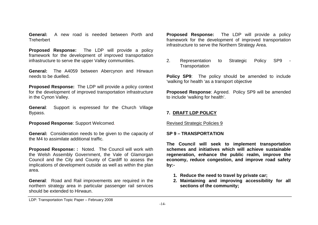**General:** A new road is needed between Porth and **Treherhert** 

**Proposed Response:** The LDP will provide a policy framework for the development of improved transportation infrastructure to serve the upper Valley communities.

**General:** The A4059 between Abercynon and Hirwaun needs to be duelled.

**Proposed Response:** The LDP will provide a policy context for the development of improved transportation infrastructure in the Cynon Valley.

**General**: Support is expressed for the Church Village Bypass.

**Proposed Response**: Support Welcomed.

**General:** Consideration needs to be given to the capacity of the M4 to assimilate additional traffic.

**Proposed Response: :** Noted. The Council will work with the Welsh Assembly Government, the Vale of Glamorgan Council and the City and County of Cardiff to assess the implications of development outside as well as within the plan area.

**General**: Road and Rail improvements are required in the northern strategy area in particular passenger rail services should be extended to Hirwaun.

**Proposed Response:** The LDP will provide a policy framework for the development of improved transportation infrastructure to serve the Northern Strategy Area.

2. Representation to Strategic Policy SP9 **Transportation** 

**Policy SP9**: The policy should be amended to include 'walking for health 'as a transport objective

**Proposed Response**: Agreed. Policy SP9 will be amended to include 'walking for health'.

#### **7. DRAFT LDP POLICY**

Revised Strategic Policies 9

#### **SP 9 – TRANSPORTATION**

**The Council will seek to implement transportation schemes and initiatives which will achieve sustainable regeneration, enhance the public realm, improve the economy, reduce congestion, and improve road safety by:-**

- **1. Reduce the need to travel by private car;**
- **2. Maintaining and improving accessibility for all sections of the community;**

LDP: Transportation Topic Paper – February 2008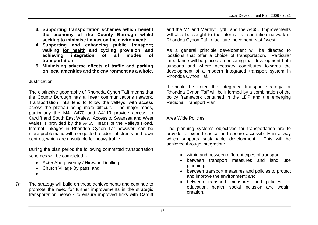- **3. Supporting transportation schemes which benefit the economy of the County Borough whilst seeking to minimise impact on the environment;**
- **4. Supporting and enhancing public transport; walking for health and cycling provision; and achieving integration of all modes of transportation;**
- **5. Minimising adverse effects of traffic and parking on local amenities and the environment as a whole.**

# Justification

The distinctive geography of Rhondda Cynon Taff means that the County Borough has a linear communications network. Transportation links tend to follow the valleys, with access across the plateau being more difficult. The major roads, particularly the M4, A470 and A4119 provide access to Cardiff and South East Wales. Access to Swansea and West Wales is provided by the A465 Heads of the Valleys Road. Internal linkages in Rhondda Cynon Taf however, can be more problematic with congested residential streets and town centres, which are unsuitable for heavy traffic.

During the plan period the following committed transportation schemes will be completed :-

- A465 Abergavenny / Hirwaun Dualling
- Church Village By pass, and
- $\bullet$
- *Th* The strategy will build on these achievements and continue to promote the need for further improvements in the strategic transportation network to ensure improved links with Cardiff

and the M4 and Merthyr Tydfil and the A465. Improvements will also be sought to the internal transportation network in Rhondda Cynon Taf to facilitate movement east / west.

As a general principle development will be directed to locations that offer a choice of transportation. Particular importance will be placed on ensuring that development both supports and where necessary contributes towards the development of a modern integrated transport system in Rhondda Cynon Taf.

It should be noted the integrated transport strategy for Rhondda Cynon Taff will be informed by a combination of the policy framework contained in the LDP and the emerging Regional Transport Plan.

# Area Wide Policies

The planning systems objectives for transportation are to provide to extend choice and secure accessibility in a way which supports sustainable development. This will be achieved through integration:

- within and between different types of transport;
- between transport measures and land use planning;
- between transport measures and policies to protect and improve the environment; and
- between transport measures and policies for education, health, social inclusion and wealth creation.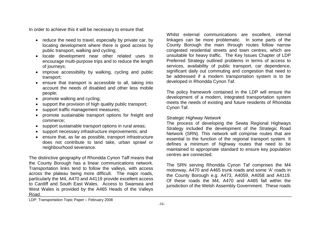In order to achieve this it will be necessary to ensure that:

- reduce the need to travel, especially by private car, by locating development where there is good access by public transport, walking and cycling;
- locate development near other related uses to encourage multi-purpose trips and to reduce the length of journeys;
- improve accessibility by walking, cycling and public transport;
- ensure that transport is accessible to all, taking into account the needs of disabled and other less mobile people;
- promote walking and cycling;
- support the provision of high quality public transport:
- support traffic management measures;
- promote sustainable transport options for freight and commerce;
- support sustainable transport options in rural areas;
- support necessary infrastructure improvements; and
- ensure that, as far as possible, transport infrastructure does not contribute to land take, urban sprawl or neighbourhood severance.

The distinctive geography of Rhondda Cynon Taff means that the County Borough has a linear communications network. Transportation links tend to follow the valleys, with access across the plateau being more difficult. The major roads, particularly the M4, A470 and A4119 provide excellent access to Cardiff and South East Wales. Access to Swansea and West Wales is provided by the A465 Heads of the Valleys Road.

Whilst external communications are excellent, internal linkages can be more problematic. In some parts of the County Borough the main through routes follow narrow congested residential streets and town centres, which are unsuitable for heavy traffic. The Key Issues Chapter of LDP Preferred Strategy outlined problems in terms of access to services, availability of public transport, car dependence, significant daily out commuting and congestion that need to be addressed if a modern transportation system is to be developed in Rhondda Cynon Taf.

The policy framework contained in the LDP will ensure the development of a modern, integrated transportation system meets the needs of existing and future residents of Rhondda Cynon Taf.

# *Strategic Highway Network*

The process of developing the Sewta Regional Highways Strategy included the development of the Strategic Road Network (SRN). This network will comprise routes that are essential to the function of the regional transport system. It defines a minimum of highway routes that need to be maintained to appropriate standard to ensure key population centres are connected.

The SRN serving Rhondda Cynon Taf comprises the M4 motorway, A470 and A465 trunk roads and some 'A' roads in the County Borough e.g. A473, A4059, A4058 and A4119. Of these roads the M4, A470 and A465 fall within the jurisdiction of the Welsh Assembly Government. These roads

LDP: Transportation Topic Paper – February 2008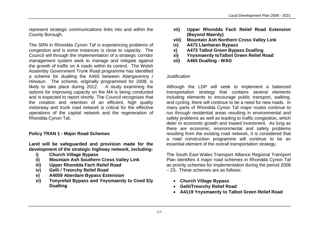represent strategic communications links into and within the County Borough.

The SRN in Rhondda Cynon Taf is experiencing problems of congestion and is some instances is close to capacity. The Council will through the implementation of a strategic corridor management system seek to manage and mitigate against the growth of traffic on A roads within its control. The Welsh Assembly Government Trunk Road programme has identified a scheme for dualling the A465 between Abergavenny / Hirwaun. The scheme, originally programmed for 2008, is likely to take place during 2012. A study examining the options for improving capacity on the M4 is being conducted and is expected to report shortly. The Council recognises that the creation and retention of an efficient, high quality motorway and trunk road network is critical for the effective operations of the capital network and the regeneration of Rhondda Cynon Taf**.** 

# **Policy TRAN 1 - Major Road Schemes**

**Land will be safeguarded and provision made for the development of the strategic highway network, including:**

- **i) Church Village Bypass**
- **ii) Mountain Ash Southern Cross Valley Link**
- **iii) Upper Rhondda Fach Relief Road**
- **iv) Gelli / Treorchy Relief Road**
- **v) A4059 Aberdare Bypass Extension**
- **vi) Tonyrefail Bypass and Ynysmaerdy to Coed Ely Dualling**
- **vii) Upper Rhondda Fach Relief Road Extension (Beyond Maerdy)**
- **viii) Mountain Ash Northern Cross Valley Link**
- **ix) A473 Llanharan Bypass**
- **x) A473 Talbot Green Bypass Dualling**
- **xi) Ynysmaerdy toTalbot Green Relief Road**
- **xii) A465 Dualling WAG**

#### Justification

Although the LDP will seek to implement a balanced transportation strategy that contains several elements including elements to encourage public transport, walking, and cycling, there will continue to be a need for new roads. In many parts of Rhondda Cynon Taf major routes continue to run through residential areas resulting in environmental and safety problems as well as leading to traffic congestion, which deter to economic growth and inward investment. As long as there are economic, environmental and safety problems resulting from the existing road network, it is considered that a road construction programme will continue to be an essential element of the overall transportation strategy.

The South East Wales Transport Alliance Regional Transport Plan identifies 4 major road schemes in Rhondda Cynon Taf as priority schemes for implementation during the period 2008 – 23**.** These schemes are as follows:

- **Church Village Bypass**
- **Gelli/Treorchy Relief Road**
- **A4119 Ynysmaerdy to Talbot Green Relief Road**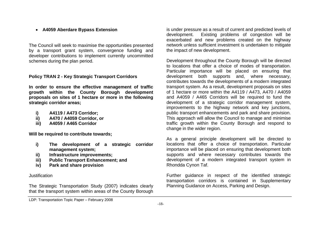# **A4059 Aberdare Bypass Extension**

The Council will seek to maximise the opportunities presented by a transport grant system, convergence funding and developer contributions to implement currently uncommitted schemes during the plan period.

## **Policy TRAN 2 - Key Strategic Transport Corridors**

**In order to ensure the effective management of traffic growth within the County Borough development proposals on sites of 1 hectare or more in the following strategic corridor areas;**

- **i) A4119 / A473 Corridor;**
- **ii) A470 / A4059 Corridor, or**
- **iii) A4059 / A465 Corridor**

**Will be required to contribute towards;**

- **i) The development of a strategic corridor management system;**
- **ii) Infrastructure improvements;**
- **iii) Public Transport Enhancement; and**
- **iv) Park and share provision**

#### Justification

The Strategic Transportation Study (2007) indicates clearly that the transport system within areas of the County Borough is under pressure as a result of current and predicted levels of development. Existing problems of congestion will be exacerbated and new problems created on the highway network unless sufficient investment is undertaken to mitigate the impact of new development.

Development throughout the County Borough will be directed to locations that offer a choice of modes of transportation. Particular importance will be placed on ensuring that development both supports and, where necessary, contributes towards the developments of a modern integrated transport system. As a result, development proposals on sites of 1 hectare or more within the A4119 / A473, A470 / A4059 and A4059 / A465 Corridors will be required to fund the development of a strategic corridor management system, improvements to the highway network and key junctions, public transport enhancements and park and share provision. This approach will allow the Council to manage and minimise traffic growth within the County Borough and respond to change in the wider region.

As a general principle development will be directed to locations that offer a choice of transportation. Particular importance will be placed on ensuring that development both supports and where necessary contributes towards the development of a modern integrated transport system in Rhondda Cynon Taf.

Further guidance in respect of the identified strategic transportation corridors is contained in Supplementary Planning Guidance on Access, Parking and Design.

LDP: Transportation Topic Paper – February 2008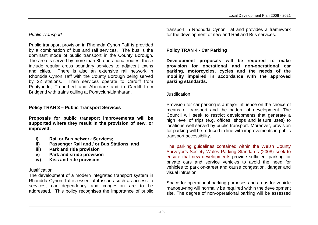# *Public Transport*

Public transport provision in Rhondda Cynon Taff is provided by a combination of bus and rail services. The bus is the dominant mode of public transport in the County Borough. The area is served by more than 80 operational routes, these include regular cross boundary services to adjacent towns and cities. There is also an extensive rail network in Rhondda Cynon Taff with the County Borough being served by 22 stations. Train services operate to Cardiff from Pontypridd, Treherbert and Aberdare and to Cardiff from Bridgend with trains calling at Pontyclun/Llanharan.

# **Policy TRAN 3 – Public Transport Services**

**Proposals for public transport improvements will be supported where they result in the provision of new, or improved;**

- **i) Rail or Bus network Services;**
- **ii) Passenger Rail and / or Bus Stations, and**
- **iii) Park and ride provision**
- **v) Park and stride provision**
- **iv) Kiss and ride provision**

# Justification

The development of a modern integrated transport system in Rhondda Cynon Taf is essential if issues such as access to services, car dependency and congestion are to be addressed. This policy recognises the importance of public transport in Rhondda Cynon Taf and provides a framework for the development of new and Rail and Bus services.

# **Policy TRAN 4 - Car Parking**

**Development proposals will be required to make provision for operational and non-operational car parking, motorcycles, cycles and the needs of the mobility impaired in accordance with the approved parking standards.**

#### **Justification**

Provision for car parking is a major influence on the choice of means of transport and the pattern of development. The Council will seek to restrict developments that generate a high level of trips (e.g. offices, shops and leisure uses) to locations well served by public transport. Moreover, provision for parking will be reduced in line with improvements in public transport accessibility.

The parking guidelines contained within the Welsh County Surveyor's Society Wales Parking Standards (2008) seek to ensure that new developments provide sufficient parking for private cars and service vehicles to avoid the need for vehicles to park on-street and cause congestion, danger and visual intrusion.

Space for operational parking purposes and areas for vehicle manoeuvring will normally be required within the development site. The degree of non-operational parking will be assessed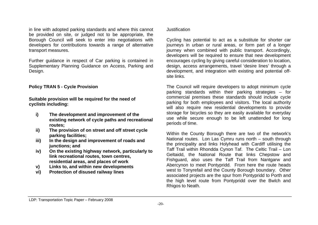in line with adopted parking standards and where this cannot be provided on site, or judged not to be appropriate, the Borough Council will seek to enter into negotiations with developers for contributions towards a range of alternative transport measures.

Further guidance in respect of Car parking is contained in Supplementary Planning Guidance on Access, Parking and Design.

#### **Policy TRAN 5 - Cycle Provision**

**Suitable provision will be required for the need of cyclists including:**

- **i) The development and improvement of the existing network of cycle paths and recreational routes;**
- **ii) The provision of on street and off street cycle parking facilities;**
- **iii) In the design and improvement of roads and junctions; and**
- **iv) On the existing highway network, particularly to link recreational routes, town centres, residential areas, and places of work**
- **v) Links to, and within new developments**
- **vi) Protection of disused railway lines**

#### Justification

Cycling has potential to act as a substitute for shorter car journeys in urban or rural areas, or form part of a longer journey when combined with public transport. Accordingly, developers will be required to ensure that new development encourages cycling by giving careful consideration to location, design, access arrangements, travel 'desire lines' through a development, and integration with existing and potential offsite links.

The Council will require developers to adopt minimum cycle parking standards within their parking strategies – for commercial premises these standards should include cycle parking for both employees and visitors. The local authority will also require new residential developments to provide storage for bicycles so they are easily available for everyday use while secure enough to be left unattended for long periods of time.

Within the County Borough there are two of the network's National routes. Lon Las Cymru runs north – south through the principality and links Holyhead with Cardiff utilising the Taff Trail within Rhondda Cynon Taf. The Celtic Trail – Lon Geltaidd, the National Route that links Chepstow and Fishguard, also uses the Taff Trail from Nantgarw and Abercynon to meet Pontypridd. From here the route heads west to Tonyrefail and the County Borough boundary. Other associated projects are the spur from Pontypridd to Porth and the high level route from Pontypridd over the Bwlch and Rhigos to Neath.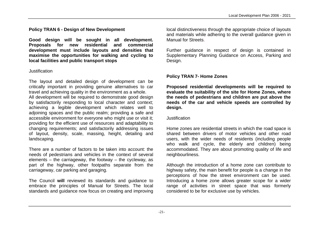**Policy TRAN 6 - Design of New Development**

**Good design will be sought in all development. Proposals for new residential and commercial development must include layouts and densities that maximise the opportunities for walking and cycling to local facilities and public transport stops**

#### **Justification**

The layout and detailed design of development can be critically important in providing genuine alternatives to car travel and achieving quality in the environment as a whole.

All development will be required to demonstrate good design by satisfactorily responding to local character and context; achieving a legible development which relates well to adjoining spaces and the public realm; providing a safe and accessible environment for everyone who might use or visit it; providing for the efficient use of resources and adaptability to changing requirements; and satisfactorily addressing issues of layout, density, scale, massing, height, detailing and landscaping.

There are a number of factors to be taken into account: the needs of pedestrians and vehicles in the context of several elements – the carriageway, the footway – the cycleway, as part of the highway, other footpaths separate from the carriageway, car parking and garaging.

The Council **will** reviewed its standards and guidance to embrace the principles of Manual for Streets. The local standards and guidance now focus on creating and improving local distinctiveness through the appropriate choice of layouts and materials while adhering to the overall guidance given in Manual for Streets.

Further guidance in respect of design is contained in Supplementary Planning Guidance on Access, Parking and Design.

# **Policy TRAN 7- Home Zones**

**Proposed residential developments will be required to evaluate the suitability of the site for Home Zones, where the needs of pedestrians and children are put above the needs of the car and vehicle speeds are controlled by design.**

## Justification

Home zones are residential streets in which the road space is shared between drivers of motor vehicles and other road users, with the wider needs of residents (including people who walk and cycle, the elderly and children) being accommodated. They are about promoting quality of life and neighbourliness.

Although the introduction of a home zone can contribute to highway safety, the main benefit for people is a change in the perceptions of how the street environment can be used. Introducing a home zone allows greater scope for a wider range of activities in street space that was formerly considered to be for exclusive use by vehicles.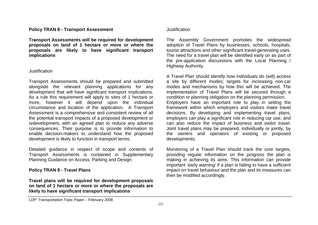#### **Policy TRAN 8 - Transport Assessment**

**Transport Assessments will be required for development proposals on land of 1 hectare or more or where the proposals are likely to have significant transport implications**

#### **Justification**

Transport Assessments should be prepared and submitted alongside the relevant planning applications for any development that will have significant transport implications. As a rule this requirement will apply to sites of 1 hectare or more, however it will depend upon the individual circumstance and location of the application. A Transport Assessment is a comprehensive and consistent review of all the potential transport impacts of a proposed development or redevelopment, with an agreed plan to reduce any adverse consequences. Their purpose is to provide information to enable decision-makers to understand how the proposed development is likely to function in transport terms.

Detailed guidance in respect of scope and contents of Transport Assessments is contained in Supplementary Planning Guidance on Access, Parking and Design.

#### **Policy TRAN 9 - Travel Plans**

**Travel plans will be required for development proposals on land of 1 hectare or more or where the proposals are likely to have significant transport implications**

#### Justification

The Assembly Government promotes the widespread adoption of Travel Plans by businesses, schools, hospitals, tourist attractions and other significant travel-generating uses. The need for a travel plan will be identified early on as part of the pre-application discussions with the Local Planning / Highway Authority.

A Travel Plan should identify how individuals do (will) access a site by different modes; targets for increasing non-car modes and mechanisms by how this will be achieved. The implementation of Travel Plans will be secured through a condition or planning obligation on the planning permission. Employers have an important role to play in setting the framework within which employers and visitors make travel decisions. By developing and implementing travel plans, employers can play a significant role in reducing car use, and can also reduce the impact of business and visitor travel. Joint travel plans may be prepared, individually or jointly, by the owners and operators of existing or proposed developments.

Monitoring of a Travel Plan should track the core targets, providing regular information on the progress the plan is making in achieving its aims. This information can provide important 'early warning' if a plan is failing to have a sufficient impact on travel behaviour and the plan and its measures can then be modified accordingly.

LDP: Transportation Topic Paper – February 2008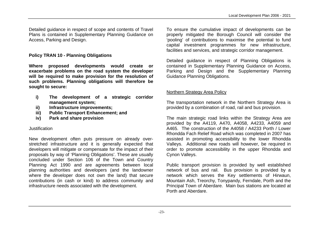Detailed guidance in respect of scope and contents of Travel Plans is contained in Supplementary Planning Guidance on Access, Parking and Design.

# **Policy TRAN 10 - Planning Obligations**

**Where proposed developments would create or exacerbate problems on the road system the developer will be required to make provision for the resolution of such problems. Planning obligations will therefore be sought to secure:**

- **i) The development of a strategic corridor management system;**
- **ii) Infrastructure improvements;**
- **iii) Public Transport Enhancement; and**
- **iv) Park and share provision**

# **Justification**

New development often puts pressure on already overstretched infrastructure and it is generally expected that developers will mitigate or compensate for the impact of their proposals by way of 'Planning Obligations'. These are usually concluded under Section 106 of the Town and Country Planning Act 1990 and are agreements between local planning authorities and developers (and the landowner where the developer does not own the land) that secure contributions (in cash or kind) to address community and infrastructure needs associated with the development.

To ensure the cumulative impact of developments can be properly mitigated the Borough Council will consider the 'pooling' of contributions to maximise the potential to fund capital investment programmes for new infrastructure, facilities and services, and strategic corridor management.

Detailed guidance in respect of Planning Obligations is contained in Supplementary Planning Guidance on Access, Parking and Design and the Supplementary Planning Guidance Planning Obligations.

# Northern Strategy Area Policy

The transportation network in the Northern Strategy Area is provided by a combination of road, rail and bus provision.

The main strategic road links within the Strategy Area are provided by the A4119, A470, A4058, A4233, A4059 and A465. The construction of the A4058 / A4233 Porth / Lower Rhondda Fach Relief Road which was completed in 2007 has assisted in promoting accessibility to the lower Rhondda Valleys. Additional new roads will however, be required in order to promote accessibility in the upper Rhondda and Cynon Valleys.

Public transport provision is provided by well established network of bus and rail. Bus provision is provided by a network which serves the Key settlements of Hirwaun, Mountain Ash, Treorchy, Tonypandy, Ferndale, Porth and the Principal Town of Aberdare. Main bus stations are located at Porth and Aberdare.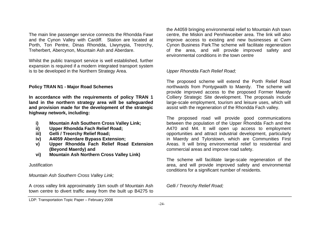The main line passenger service connects the Rhondda Fawr and the Cynon Valley with Cardiff. Station are located at Porth, Ton Pentre, Dinas Rhondda, Llwynypia, Treorchy, Treherbert, Abercynon, Mountain Ash and Aberdare.

Whilst the public transport service is well established, further expansion is required if a modern integrated transport system is to be developed in the Northern Strategy Area.

## **Policy TRAN N1 - Major Road Schemes**

**In accordance with the requirements of policy TRAN 1 land in the northern strategy area will be safeguarded and provision made for the development of the strategic highway network, including:**

- **i) Mountain Ash Southern Cross Valley Link;**
- **ii) Upper Rhondda Fach Relief Road;**
- **iii) Gelli / Treorchy Relief Road;**
- **iv) A4059 Aberdare Bypass Extension;**
- **v) Upper Rhondda Fach Relief Road Extension (Beyond Maerdy) and**
- **vi) Mountain Ash Northern Cross Valley Link)**

## Justification

*Mountain Ash Southern Cross Valley Link;*

A cross valley link approximately 1km south of Mountain Ash town centre to divert traffic away from the built up B4275 to

the A4059 bringing environmental relief to Mountain Ash town centre, the Miskin and Penrhiwceiber area. The link will also improve access to existing and new businesses at Cwm Cynon Business Park.The scheme will facilitate regeneration of the area, and will provide improved safety and environmental conditions in the town centre

# *Upper Rhondda Fach Relief Road;*

The proposed scheme will extend the Porth Relief Road northwards from Pontygwaith to Maerdy. The scheme will provide improved access to the proposed Former Maerdy Colliery Strategic Site development. The proposals include large-scale employment, tourism and leisure uses, which will assist with the regeneration of the Rhondda Fach valley.

The proposed road will provide good communications between the population of the Upper Rhondda Fach and the A470 and M4. It will open up access to employment opportunities and attract industrial development, particularly in Maerdy and Tylorstown, which are Communities First Areas. It will bring environmental relief to residential and commercial areas and improve road safety.

The scheme will facilitate large-scale regeneration of the area, and will provide improved safety and environmental conditions for a significant number of residents.

# *Gelli / Treorchy Relief Road;*

LDP: Transportation Topic Paper – February 2008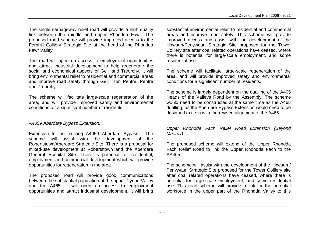The single carriageway relief road will provide a high quality link between the middle and upper Rhondda Fawr. The proposed road scheme will provide improved access to the Fernhill Colliery Strategic Site at the head of the Rhondda Fawr Valley

The road will open up access to employment opportunities and attract industrial development to help regenerate the social and economical aspects of Gelli and Treorchy. It will bring environmental relief to residential and commercial areas and improve road safety through Gelli, Ton Pentre, Pentre and Treorchy.

The scheme will facilitate large-scale regeneration of the area, and will provide improved safety and environmental conditions for a significant number of residents.

# *A4059 Aberdare Bypass Extension;*

Extension to the existing A4059 Aberdare Bypass. The scheme will assist with the development of the Robertstown/Aberdare Strategic Site. There is a proposal for mixed-use development at Robertstown and the Aberdare General Hospital Site. There is potential for residential, employment and commercial development which will provide opportunities for regeneration in the area

The proposed road will provide good communications between the substantial population of the upper Cynon Valley and the A465. It will open up access to employment opportunities and attract industrial development. It will bring

substantial environmental relief to residential and commercial areas and improve road safety. This scheme will provide improved access and assist with the development of the Hirwaun/Penywaun Strategic Site proposed for the Tower Colliery site after coal related operations have ceased, where there is potential for large-scale employment, and some residential use.

The scheme will facilitate large-scale regeneration of the area, and will provide improved safety and environmental conditions for a significant number of residents.

The scheme is largely dependent on the dualling of the A465 Heads of the Valleys Road by the Assembly*.* The scheme would need to be constructed at the same time as the A465 dualling, as the Aberdare Bypass Extension would need to be designed to tie in with the revised alignment of the A465

#### *Upper Rhondda Fach Relief Road Extension (Beyond Maerdy)*

The proposed scheme will extend of the Upper Rhondda Fach Relief Road to link the Upper Rhondda Fach to the AA465.

The scheme will assist with the development of the Hirwaun / Penywaun Strategic Site proposed for the Tower Colliery site after coal related operations have ceased, where there is potential for large-scale employment, and some residential use. This road scheme will provide a link for the potential workforce in the upper part of the Rhondda Valley to this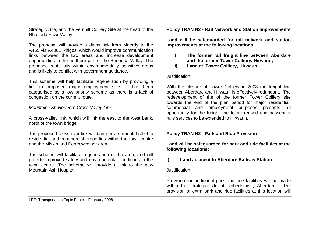Strategic Site, and the Fernhill Colliery Site at the head of the Rhondda Fawr Valley.

The proposal will provide a direct link from Maerdy to the A465 via A4061 Rhigos, which would improve communication links between the two areas and increase development opportunities in the northern part of the Rhondda Valley. The proposed route sits within environmentally sensitive areas and is likely to conflict with government guidance.

This scheme will help facilitate regeneration by providing a link to proposed major employment sites. It has been categorised as a low priority scheme as there is a lack of congestion on the current route.

*Mountain Ash Northern Cross Valley Link*

A cross-valley link, which will link the east to the west bank, north of the town bridge.

The proposed cross-river link will bring environmental relief to residential and commercial properties within the town centre and the Miskin and Penrhiwceiber area.

The scheme will facilitate regeneration of the area, and will provide improved safety and environmental conditions in the town centre. The scheme will provide a link to the new Mountain Ash Hospital.

#### **Policy TRAN N2 - Rail Network and Station Improvements**

**Land will be safeguarded for rail network and station improvements at the following locations:**

- **i) The former rail freight line between Aberdare and the former Tower Colliery, Hirwaun;**
- **ii) Land at Tower Colliery, Hirwaun;**

#### Justification

With the closure of Tower Colliery in 2008 the freight line between Aberdare and Hirwaun is effectively redundant. The redevelopment of the of the former Tower Colliery site towards the end of the plan period for major residential, commercial and employment purposes presents an opportunity for the freight line to be reused and passenger rails services to be extended to Hirwaun.

## **Policy TRAN N2 - Park and Ride Provision**

**Land will be safeguarded for park and ride facilities at the following locations:**

#### **i) Land adjacent to Aberdare Railway Station**

#### Justification

Provision for additional park and ride facilities will be made within the strategic site at Robertstown, Aberdare. The provision of extra park and ride facilities at this location will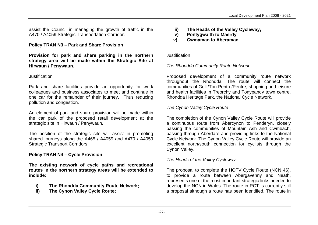assist the Council in managing the growth of traffic in the A470 / A4059 Strategic Transportation Corridor.

# **Policy TRAN N3 – Park and Share Provision**

**Provision for park and share parking in the northern strategy area will be made within the Strategic Site at Hirwaun / Penywaun.**

#### Justification

Park and share facilities provide an opportunity for work colleagues and business associates to meet and continue in one car for the remainder of their journey. Thus reducing pollution and congestion.

An element of park and share provision will be made within the car park of the proposed retail development at the strategic site in Hirwaun / Penywaun.

The position of the strategic site will assist in promoting shared journeys along the A465 / A4059 and A470 / A4059 Strategic Transport Corridors.

## **Policy TRAN N4 – Cycle Provision**

**The existing network of cycle paths and recreational routes in the northern strategy areas will be extended to include:**

- **i) The Rhondda Community Route Network;**
- **ii) The Cynon Valley Cycle Route;**
- **iii) The Heads of the Valley Cycleway;**
- **iv) Pontygwaith to Maerdy**
- **v) Cwmaman to Aberaman**

#### Justification

# *The Rhondda Community Route Network*

Proposed development of a community route network throughout the Rhondda. The route will connect the communities of Gelli/Ton Pentre/Pentre, shopping and leisure and health facilities in Treorchy and Tonypandy town centre, Rhondda Heritage Park, the National Cycle Network.

# *The Cynon Valley Cycle Route*

The completion of the Cynon Valley Cycle Route will provide a continuous route from Abercynon to Penderyn, closely passing the communities of Mountain Ash and Cwmbach, passing through Aberdare and providing links to the National Cycle Network. The Cynon Valley Cycle Route will provide an excellent north/south connection for cyclists through the Cynon Valley.

# *The Heads of the Valley Cycleway*

The proposal to complete the HOTV Cycle Route (NCN 46), to provide a route between Abergavenny and Neath, represents one of the most important strategic links needed to develop the NCN in Wales. The route in RCT is currently still a proposal although a route has been identified. The route in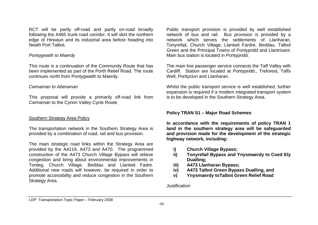RCT will be partly off-road and partly on-road broadly following the A465 trunk road corridor. It will skirt the northern edge of Hirwaun and its industrial area before heading into Neath Port Talbot.

# *Pontygwaith to Maerdy*

This route is a continuation of the Community Route that has been implemented as part of the Porth Relief Road. The route continues north from Pontygwaith to Maerdy.

## *Cwmaman to Aberaman*

This proposal will provide a primarily off-road link from Cwmaman to the Cynon Valley Cycle Route.

# Southern Strategy Area Policy

The transportation network in the Southern Strategy Area is provided by a combination of road, rail and bus provision.

The main strategic road links within the Strategy Area are provided by the A4119, A473 and A470. The programmed construction of the A473 Church Village Bypass will relieve congestion and bring about environmental improvements in Tonteg, Church Village, Beddau and Llantwit Fadre. Additional new roads will however, be required in order to promote accessibility and reduce congestion in the Southern Strategy Area.

Public transport provision is provided by well established network of bus and rail. Bus provision is provided by a network which serves the settlements of Llanharan, Tonyrefail, Church Village, Llantwit Fardre, Beddau, Talbot Green and the Principal Towns of Pontypridd and Llantrisant. Main bus station is located in Pontypridd.

The main line passenger service connects the Taff Valley with Cardiff. Station are located at Pontypridd., Treforest, Taffs Well, Pontyclun and Llanharan.

Whilst the public transport service is well established, further expansion is required if a modern integrated transport system is to be developed in the Southern Strategy Area.

## **Policy TRAN S1 – Major Road Schemes**

**In accordance with the requirements of policy TRAN 1 land in the southern strategy area will be safeguarded and provision made for the development of the strategic highway network, including:**

- **i) Church Village Bypass;**
- **ii) Tonyrefail Bypass and Ynysmaerdy to Coed Ely Dualling;**
- **iii) A473 Llanharan Bypass;**
- **iv) A473 Talbot Green Bypass Dualling, and**
- **v) Ynysmaerdy toTalbot Green Relief Road**

**Justification**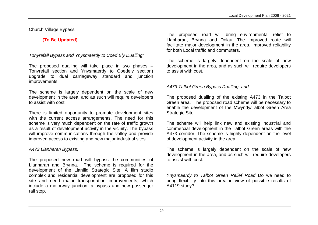# Church Village Bypass

# **(To Be Updated)**

# *Tonyrefail Bypass and Ynysmaerdy to Coed Ely Dualling;*

The proposed dualling will take place in two phases – Tonyrefail section and Ynysmaerdy to Coedely section) upgrade to dual carriageway standard and junction improvements.

The scheme is largely dependent on the scale of new development in the area, and as such will require developers to assist with cost

There is limited opportunity to promote development sites with the current access arrangements. The need for this scheme is very much dependent on the rate of traffic growth as a result of development activity in the vicinity. The bypass will improve communications through the valley and provide improved access to existing and new major industrial sites.

# *A473 Llanharan Bypass;*

The proposed new road will bypass the communities of Llanharan and Brynna. The scheme is required for the development of the Llanilid Strategic Site. A film studio complex and residential development are proposed for this site and need major transportation improvements, which include a motorway junction, a bypass and new passenger rail stop.

The proposed road will bring environmental relief to Llanharan, Brynna and Dolau. The improved route will facilitate major development in the area. Improved reliability for both Local traffic and commuters.

The scheme is largely dependent on the scale of new development in the area, and as such will require developers to assist with cost.

# *A473 Talbot Green Bypass Dualling, and*

The proposed dualling of the existing A473 in the Talbot Green area. The proposed road scheme will be necessary to enable the development of the Mwyndy/Talbot Green Area Strategic Site.

The scheme will help link new and existing industrial and commercial development in the Talbot Green areas with the A473 corridor. The scheme is highly dependent on the level of development activity in the area.

The scheme is largely dependent on the scale of new development in the area, and as such will require developers to assist with cost.

*Ynysmaerdy to Talbot Green Relief Road* Do we need to bring flexibility into this area in view of possible results of A4119 study?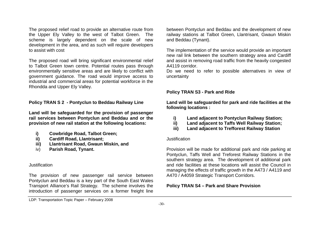The proposed relief road to provide an alternative route from the Upper Ely Valley to the west of Talbot Green. The scheme is largely dependent on the scale of new development in the area, and as such will require developers to assist with cost

The proposed road will bring significant environmental relief to Talbot Green town centre. Potential routes pass through environmentally sensitive areas and are likely to conflict with government guidance. The road would improve access to industrial and commercial areas for potential workforce in the Rhondda and Upper Ely Valley.

**Policy TRAN S 2 - Pontyclun to Beddau Railway Line**

**Land will be safeguarded for the provision of passenger rail services between Pontyclun and Beddau and or the provision of new rail station at the following locations:**

- **i) Cowbridge Road, Talbot Green;**
- **ii) Cardiff Road, Llantrisant;**
- **iii) Llantrisant Road, Gwaun Miskin, and**
- iv) **Parish Road, Tynant.**

#### Justification

The provision of new passenger rail service between Pontyclun and Beddau is a key part of the South East Wales Transport Alliance's Rail Strategy. The scheme involves the introduction of passenger services on a former freight line between Pontyclun and Beddau and the development of new railway stations at Talbot Green, Llantrisant, Gwaun Miskin and Beddau (Tynant).

The implementation of the service would provide an important new rail link between the southern strategy area and Cardiff and assist in removing road traffic from the heavily congested A4119 corridor.

Do we need to refer to possible alternatives in view of uncertainty

#### **Policy TRAN S3 - Park and Ride**

**Land will be safeguarded for park and ride facilities at the following locations :**

- **i) Land adjacent to Pontyclun Railway Station;**
- **ii) Land adjacent to Taffs Well Railway Station;**
- **iii) Land adjacent to Trefforest Railway Station**

#### Justification

Provision will be made for additional park and ride parking at Pontyclun, Taffs Well and Treforest Railway Stations in the southern strategy area. The development of additional park and ride facilities at these locations will assist the Council in managing the effects of traffic growth in the A473 / A4119 and A470 / A4059 Strategic Transport Corridors.

## **Policy TRAN S4 – Park and Share Provision**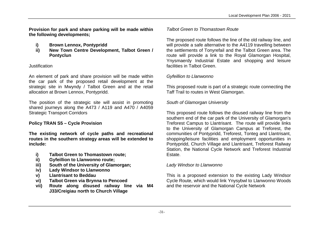**Provision for park and share parking will be made within the following developments;**

- **i) Brown Lennox, Pontypridd**
- **ii) New Town Centre Development, Talbot Green / Pontyclun**

# **Justification**

An element of park and share provision will be made within the car park of the proposed retail development at the strategic site in Mwyndy / Talbot Green and at the retail allocation at Brown Lennox, Pontypridd.

The position of the strategic site will assist in promoting shared journeys along the A473 / A119 and A470 / A4059 Strategic Transport Corridors

# **Policy TRAN S5 – Cycle Provision**

**The existing network of cycle paths and recreational routes in the southern strategy areas will be extended to include:**

- **i) Talbot Green to Thomastown route;**
- **ii) Gyfeillion to Llanwonno route;**
- **iii) South of the University of Glamorgan;**
- **iv) Lady Windsor to Llanwonno**
- **v) Llantrisant to Beddau**
- **vi) Talbot Green via Brynna to Pencoed**
- **vii) Route along disused railway line via M4 J33/Creigiau north to Church Village**

# *Talbot Green to Thomastown Route*

The proposed route follows the line of the old railway line, and will provide a safe alternative to the A4119 travelling between the settlements of Tonyrefail and the Talbot Green area. The route will provide a link to the Royal Glamorgan Hospital. Ynysmaerdy Industrial Estate and shopping and leisure facilities in Talbot Green.

# *Gyfeillion to Llanwonno*

This proposed route is part of a strategic route connecting the Taff Trail to routes in West Glamorgan.

# *South of Glamorgan University*

This proposed route follows the disused railway line from the southern end of the car park of the University of Glamorgan's Treforest Campus to Llantrisant. The route will provide links to the University of Glamorgan Campus at Treforest, the communities of Pontypridd, Treforest, Tonteg and Llantrisant, shopping/leisure facilities and employment opportunities in Pontypridd, Church Village and Llantrisant, Treforest Railway Station, the National Cycle Network and Treforest Industrial Estate.

# *Lady Windsor to Llanwonno*

This is a proposed extension to the existing Lady Windsor Cycle Route, which would link Ynysybwl to Llanwonno Woods and the reservoir and the National Cycle Network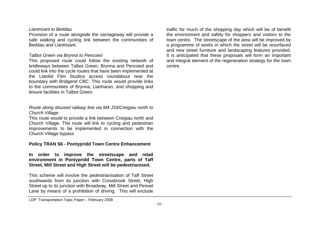#### *Llantrisant to Beddau*

Provision of a route alongside the carriageway will provide a safe walking and cycling link between the communities of Beddau and Llantrisant.

#### *Talbot Green via Brynna to Pencoed*

This proposed route could follow the existing network of bridleways between Talbot Green, Brynna and Pencoed and could link into the cycle routes that have been implemented at the Llanilid Film Studios access roundabout near the boundary with Bridgend CBC. This route would provide links to the communities of Brynna, Llanharan, and shopping and leisure facilities in Talbot Green.

# *Route along disused railway line via M4 J33/Creigiau north to Church Village*

This route would to provide a link between Creigiau north and Church Village. The route will link to cycling and pedestrian improvements to be implemented in connection with the Church Village bypass

#### **Policy TRAN S6 - Pontypridd Town Centre Enhancement**

**In order to improve the streetscape and retail environment in Pontypridd Town Centre, parts of Taff Street, Mill Street and High Street will be pedestrianised.** 

This scheme will involve the pedestrianisation of Taff Street southwards from its junction with Crossbrook Street, High Street up to its junction with Broadway, Mill Street and Penuel Lane by means of a prohibition of driving. This will exclude traffic for much of the shopping day which will be of benefit the environment and safety for shoppers and visitors to the town centre. The streetscape of the area will be improved by a programme of works in which the street will be resurfaced and new street furniture and landscaping features provided. It is anticipated that these proposals will form an important and integral element of the regeneration strategy for the town centre.

LDP: Transportation Topic Paper – February 2008